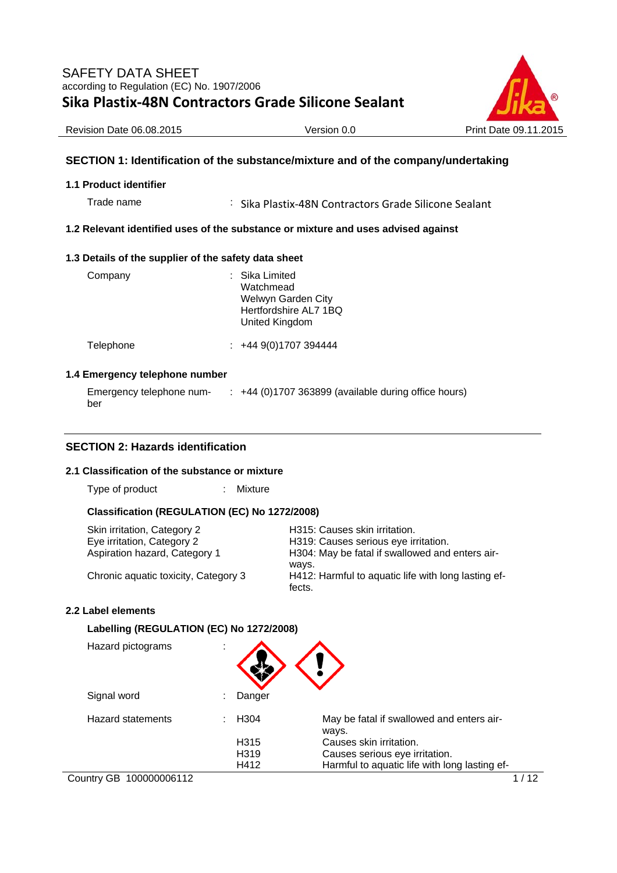

Revision Date 06.08.2015 Version 0.0 Print Date 09.11.2015

## **SECTION 1: Identification of the substance/mixture and of the company/undertaking**

#### **1.1 Product identifier**

Trade name : Sika Plastix-48N Contractors Grade Silicone Sealant

#### **1.2 Relevant identified uses of the substance or mixture and uses advised against**

#### **1.3 Details of the supplier of the safety data sheet**

| Company   | : Sika Limited<br>Watchmead<br>Welwyn Garden City<br>Hertfordshire AL7 1BQ<br>United Kingdom |
|-----------|----------------------------------------------------------------------------------------------|
| Telephone | $\div$ +44 9(0)1707 394444                                                                   |

#### **1.4 Emergency telephone number**

| Emergency telephone num- | : +44 (0)1707 363899 (available during office hours) |
|--------------------------|------------------------------------------------------|
| ber                      |                                                      |

## **SECTION 2: Hazards identification**

#### **2.1 Classification of the substance or mixture**

Type of product : Mixture

#### **Classification (REGULATION (EC) No 1272/2008)**

| Skin irritation, Category 2          | H315: Causes skin irritation.                                 |
|--------------------------------------|---------------------------------------------------------------|
| Eye irritation, Category 2           | H319: Causes serious eye irritation.                          |
| Aspiration hazard, Category 1        | H304: May be fatal if swallowed and enters air-<br>ways.      |
| Chronic aquatic toxicity, Category 3 | H412: Harmful to aquatic life with long lasting ef-<br>fects. |

### **2.2 Label elements**

#### **Labelling (REGULATION (EC) No 1272/2008)**

| Hazard pictograms | ٠<br>$\mathbf{r}$ |                                                    |
|-------------------|-------------------|----------------------------------------------------|
| Signal word       | Danger            |                                                    |
| Hazard statements | H <sub>304</sub>  | May be fatal if swallowed and enters air-<br>ways. |
|                   | H315              | Causes skin irritation.                            |
|                   | H <sub>3</sub> 19 | Causes serious eye irritation.                     |
|                   | H412              | Harmful to aquatic life with long lasting ef-      |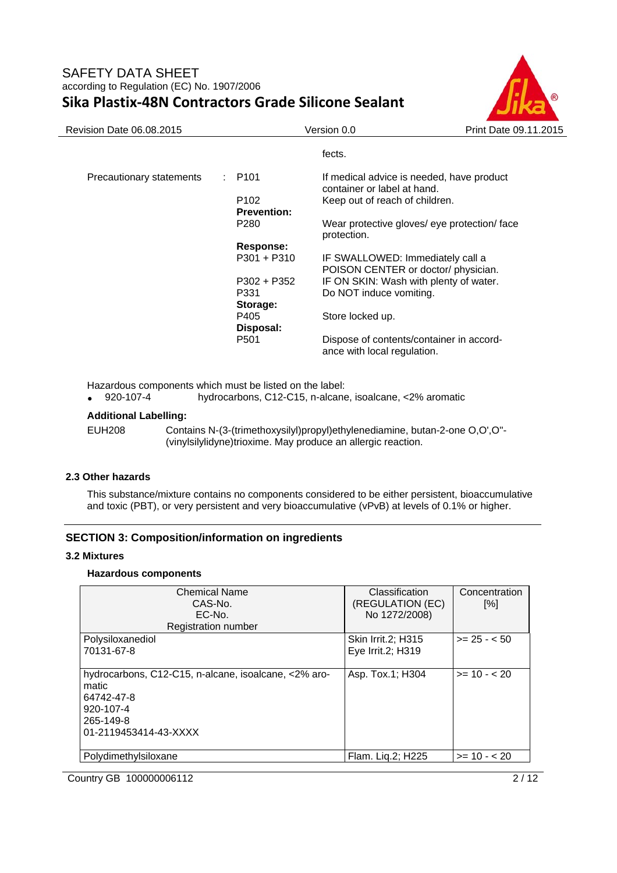

| <b>Revision Date 06.08.2015</b> |                    | Version 0.0                                                              | Print Date 09.11.2015 |
|---------------------------------|--------------------|--------------------------------------------------------------------------|-----------------------|
|                                 |                    | fects.                                                                   |                       |
| Precautionary statements        | : P101             | If medical advice is needed, have product<br>container or label at hand. |                       |
|                                 | P <sub>102</sub>   | Keep out of reach of children.                                           |                       |
|                                 | <b>Prevention:</b> |                                                                          |                       |
|                                 | P <sub>280</sub>   | Wear protective gloves/ eye protection/ face<br>protection.              |                       |
|                                 | Response:          |                                                                          |                       |
|                                 | $P301 + P310$      | IF SWALLOWED: Immediately call a<br>POISON CENTER or doctor/physician.   |                       |
|                                 | $P302 + P352$      | IF ON SKIN: Wash with plenty of water.                                   |                       |
|                                 | P331<br>Storage:   | Do NOT induce vomiting.                                                  |                       |
|                                 | P405<br>Disposal:  | Store locked up.                                                         |                       |
|                                 | P <sub>501</sub>   | Dispose of contents/container in accord-<br>ance with local regulation.  |                       |
|                                 |                    |                                                                          |                       |

Hazardous components which must be listed on the label:<br>• 920-107-4 hydrocarbons, C12-C15, n-alcane

920-107-4 hydrocarbons, C12-C15, n-alcane, isoalcane, <2% aromatic

## **Additional Labelling:**

EUH208 Contains N-(3-(trimethoxysilyl)propyl)ethylenediamine, butan-2-one O,O',O''- (vinylsilylidyne)trioxime. May produce an allergic reaction.

### **2.3 Other hazards**

This substance/mixture contains no components considered to be either persistent, bioaccumulative and toxic (PBT), or very persistent and very bioaccumulative (vPvB) at levels of 0.1% or higher.

### **SECTION 3: Composition/information on ingredients**

#### **3.2 Mixtures**

### **Hazardous components**

| <b>Chemical Name</b>                                 | Classification            | Concentration      |
|------------------------------------------------------|---------------------------|--------------------|
| CAS-No.                                              | (REGULATION (EC)          | $\lceil \% \rceil$ |
| $EC-No$ .                                            | No 1272/2008)             |                    |
| <b>Registration number</b>                           |                           |                    |
| Polysiloxanediol                                     | <b>Skin Irrit.2; H315</b> | $>= 25 - 50$       |
| 70131-67-8                                           | Eye Irrit.2; H319         |                    |
|                                                      |                           |                    |
| hydrocarbons, C12-C15, n-alcane, isoalcane, <2% aro- | Asp. Tox.1; H304          | $>= 10 - 20$       |
| matic                                                |                           |                    |
| 64742-47-8                                           |                           |                    |
| 920-107-4                                            |                           |                    |
| 265-149-8                                            |                           |                    |
| 01-2119453414-43-XXXX                                |                           |                    |
|                                                      |                           |                    |
| Polydimethylsiloxane                                 | Flam. Lig.2; H225         | $>= 10 - 20$       |

Country GB 100000006112 2/12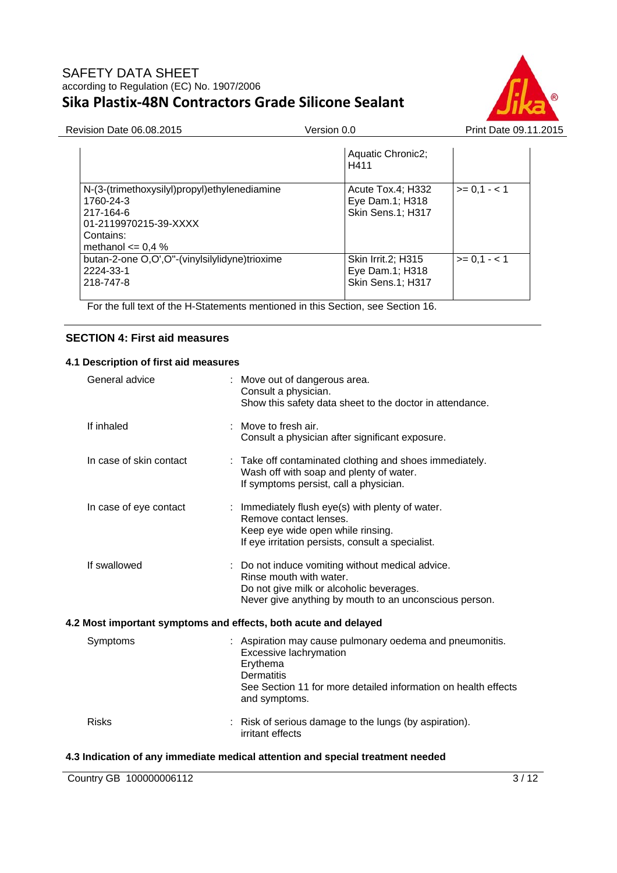

Revision Date 06.08.2015 Version 0.0 Version 0.0 Print Date 09.11.2015

|                                                                                                                                       | Aquatic Chronic2;<br>H411                                  |              |
|---------------------------------------------------------------------------------------------------------------------------------------|------------------------------------------------------------|--------------|
| N-(3-(trimethoxysilyl)propyl)ethylenediamine<br>1760-24-3<br>217-164-6<br>01-2119970215-39-XXXX<br>Contains:<br>methanol $\leq$ 0,4 % | Acute Tox.4; H332<br>Eye Dam.1; H318<br>Skin Sens.1; H317  | $>= 0,1 - 1$ |
| butan-2-one O,O',O"-(vinylsilylidyne)trioxime<br>2224-33-1<br>218-747-8                                                               | Skin Irrit.2; H315<br>Eye Dam.1; H318<br>Skin Sens.1; H317 | $>= 0.1 - 1$ |

For the full text of the H-Statements mentioned in this Section, see Section 16.

## **SECTION 4: First aid measures**

## **4.1 Description of first aid measures**

| General advice          | : Move out of dangerous area.<br>Consult a physician.<br>Show this safety data sheet to the doctor in attendance.                                                                                      |
|-------------------------|--------------------------------------------------------------------------------------------------------------------------------------------------------------------------------------------------------|
| If inhaled              | : Move to fresh air.<br>Consult a physician after significant exposure.                                                                                                                                |
| In case of skin contact | : Take off contaminated clothing and shoes immediately.<br>Wash off with soap and plenty of water.<br>If symptoms persist, call a physician.                                                           |
| In case of eye contact  | : Immediately flush eye(s) with plenty of water.<br>Remove contact lenses.<br>Keep eye wide open while rinsing.<br>If eye irritation persists, consult a specialist.                                   |
| If swallowed            | : Do not induce vomiting without medical advice.<br>Rinse mouth with water.<br>Do not give milk or alcoholic beverages.<br>Never give anything by mouth to an unconscious person.                      |
|                         | 4.2 Most important symptoms and effects, both acute and delayed                                                                                                                                        |
| Symptoms                | : Aspiration may cause pulmonary oedema and pneumonitis.<br>Excessive lachrymation<br>Erythema<br><b>Dermatitis</b><br>See Section 11 for more detailed information on health effects<br>and symptoms. |
| <b>Risks</b>            | : Risk of serious damage to the lungs (by aspiration).<br>irritant effects                                                                                                                             |

## **4.3 Indication of any immediate medical attention and special treatment needed**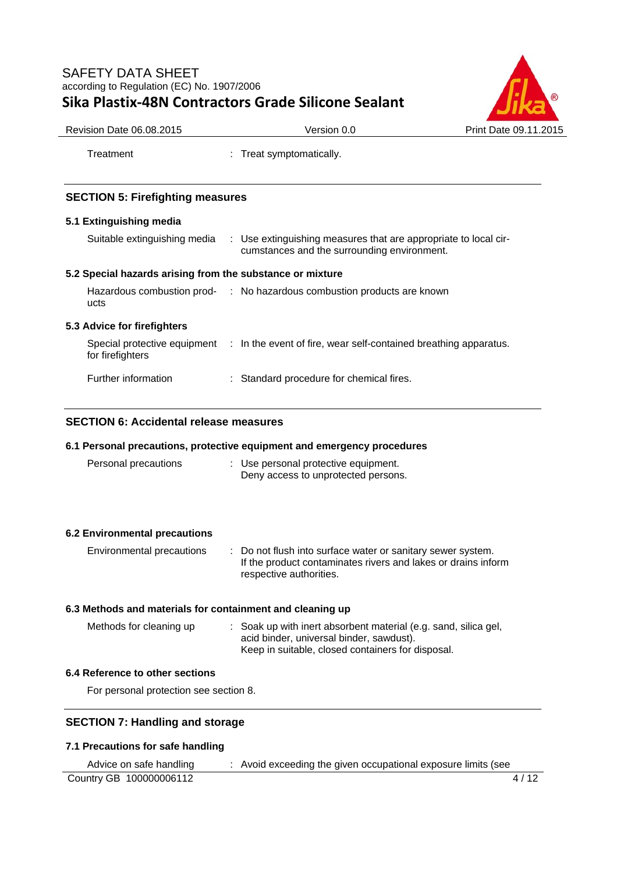

Treatment : Treat symptomatically.

# **SECTION 5: Firefighting measures**

## **5.1 Extinguishing media**

Suitable extinguishing media : Use extinguishing measures that are appropriate to local circumstances and the surrounding environment.

## **5.2 Special hazards arising from the substance or mixture**

| Hazardous combustion prod-<br>ucts               | : No hazardous combustion products are known                     |  |
|--------------------------------------------------|------------------------------------------------------------------|--|
| 5.3 Advice for firefighters                      |                                                                  |  |
| Special protective equipment<br>for firefighters | : In the event of fire, wear self-contained breathing apparatus. |  |

Further information : Standard procedure for chemical fires.

## **SECTION 6: Accidental release measures**

### **6.1 Personal precautions, protective equipment and emergency procedures**

| Personal precautions | : Use personal protective equipment. |
|----------------------|--------------------------------------|
|                      | Deny access to unprotected persons.  |

## **6.2 Environmental precautions**

| Environmental precautions | : Do not flush into surface water or sanitary sewer system.<br>If the product contaminates rivers and lakes or drains inform |
|---------------------------|------------------------------------------------------------------------------------------------------------------------------|
|                           | respective authorities.                                                                                                      |

### **6.3 Methods and materials for containment and cleaning up**

| Methods for cleaning up | : Soak up with inert absorbent material (e.g. sand, silica gel, |
|-------------------------|-----------------------------------------------------------------|
|                         | acid binder, universal binder, sawdust).                        |
|                         | Keep in suitable, closed containers for disposal.               |

### **6.4 Reference to other sections**

For personal protection see section 8.

## **SECTION 7: Handling and storage**

# **7.1 Precautions for safe handling**

| Advice on safe handling | : Avoid exceeding the given occupational exposure limits (see |      |
|-------------------------|---------------------------------------------------------------|------|
| Country GB 100000006112 |                                                               | 4/12 |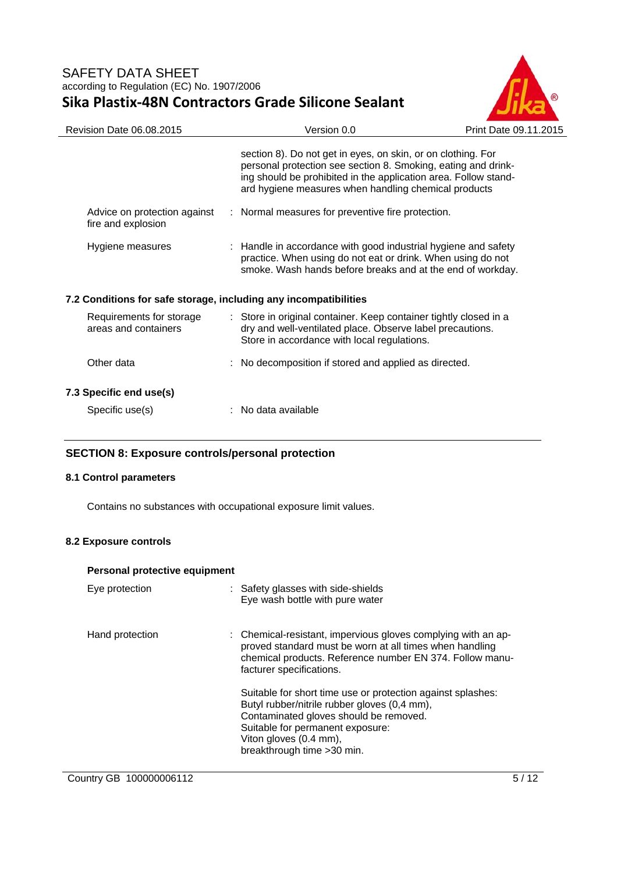

| Revision Date 06.08.2015                                         | Version 0.0                                                                                                                                                                                                                                              | Print Date 09.11.2015 |
|------------------------------------------------------------------|----------------------------------------------------------------------------------------------------------------------------------------------------------------------------------------------------------------------------------------------------------|-----------------------|
|                                                                  | section 8). Do not get in eyes, on skin, or on clothing. For<br>personal protection see section 8. Smoking, eating and drink-<br>ing should be prohibited in the application area. Follow stand-<br>ard hygiene measures when handling chemical products |                       |
| Advice on protection against<br>fire and explosion               | : Normal measures for preventive fire protection.                                                                                                                                                                                                        |                       |
| Hygiene measures                                                 | : Handle in accordance with good industrial hygiene and safety<br>practice. When using do not eat or drink. When using do not<br>smoke. Wash hands before breaks and at the end of workday.                                                              |                       |
| 7.2 Conditions for safe storage, including any incompatibilities |                                                                                                                                                                                                                                                          |                       |
| Requirements for storage<br>areas and containers                 | : Store in original container. Keep container tightly closed in a<br>dry and well-ventilated place. Observe label precautions.<br>Store in accordance with local regulations.                                                                            |                       |
| Other data                                                       | : No decomposition if stored and applied as directed.                                                                                                                                                                                                    |                       |
| 7.3 Specific end use(s)                                          |                                                                                                                                                                                                                                                          |                       |
| Specific use(s)                                                  | No data available                                                                                                                                                                                                                                        |                       |
|                                                                  |                                                                                                                                                                                                                                                          |                       |

## **SECTION 8: Exposure controls/personal protection**

### **8.1 Control parameters**

Contains no substances with occupational exposure limit values.

## **8.2 Exposure controls**

#### **Personal protective equipment**

| Eye protection  | : Safety glasses with side-shields<br>Eye wash bottle with pure water                                                                                                                                                                              |
|-----------------|----------------------------------------------------------------------------------------------------------------------------------------------------------------------------------------------------------------------------------------------------|
| Hand protection | : Chemical-resistant, impervious gloves complying with an ap-<br>proved standard must be worn at all times when handling<br>chemical products. Reference number EN 374. Follow manu-<br>facturer specifications.                                   |
|                 | Suitable for short time use or protection against splashes:<br>Butyl rubber/nitrile rubber gloves (0,4 mm),<br>Contaminated gloves should be removed.<br>Suitable for permanent exposure:<br>Viton gloves (0.4 mm),<br>breakthrough time > 30 min. |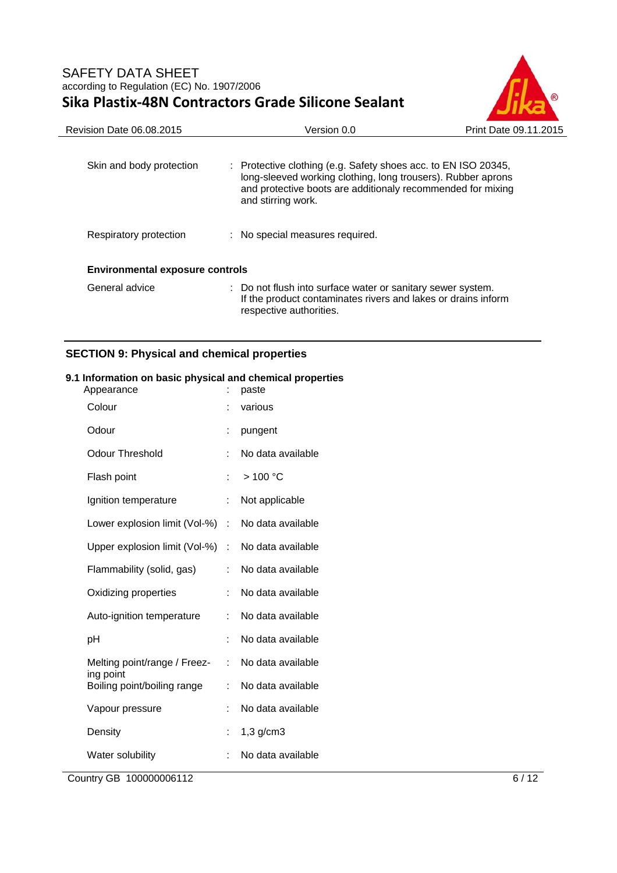

| Revision Date 06.08.2015               | Version 0.0                                                                                                                                                                                                                    | Print Date 09.11.2015 |
|----------------------------------------|--------------------------------------------------------------------------------------------------------------------------------------------------------------------------------------------------------------------------------|-----------------------|
| Skin and body protection               | $\therefore$ Protective clothing (e.g. Safety shoes acc. to EN ISO 20345,<br>long-sleeved working clothing, long trousers). Rubber aprons<br>and protective boots are additionaly recommended for mixing<br>and stirring work. |                       |
| Respiratory protection                 | : No special measures required.                                                                                                                                                                                                |                       |
| <b>Environmental exposure controls</b> |                                                                                                                                                                                                                                |                       |
| General advice                         | : Do not flush into surface water or sanitary sewer system.<br>If the product contaminates rivers and lakes or drains inform<br>respective authorities.                                                                        |                       |

# **SECTION 9: Physical and chemical properties**

## **9.1 Information on basic physical and chemical properties**

| Appearance                                |    | paste             |
|-------------------------------------------|----|-------------------|
| Colour                                    |    | various           |
| Odour                                     | Ì. | pungent           |
| <b>Odour Threshold</b>                    | ÷  | No data available |
| Flash point                               |    | >100 °C           |
| Ignition temperature                      | ÷. | Not applicable    |
| Lower explosion limit (Vol-%)             | ÷. | No data available |
| Upper explosion limit (Vol-%)             | t. | No data available |
| Flammability (solid, gas)                 |    | No data available |
| Oxidizing properties                      | t. | No data available |
| Auto-ignition temperature                 |    | No data available |
| рH                                        |    | No data available |
| Melting point/range / Freez-<br>ing point | ÷. | No data available |
| Boiling point/boiling range               | t. | No data available |
| Vapour pressure                           |    | No data available |
| Density                                   |    | $1,3$ g/cm $3$    |
| Water solubility                          |    | No data available |
|                                           |    |                   |

Country GB 100000006112 6/12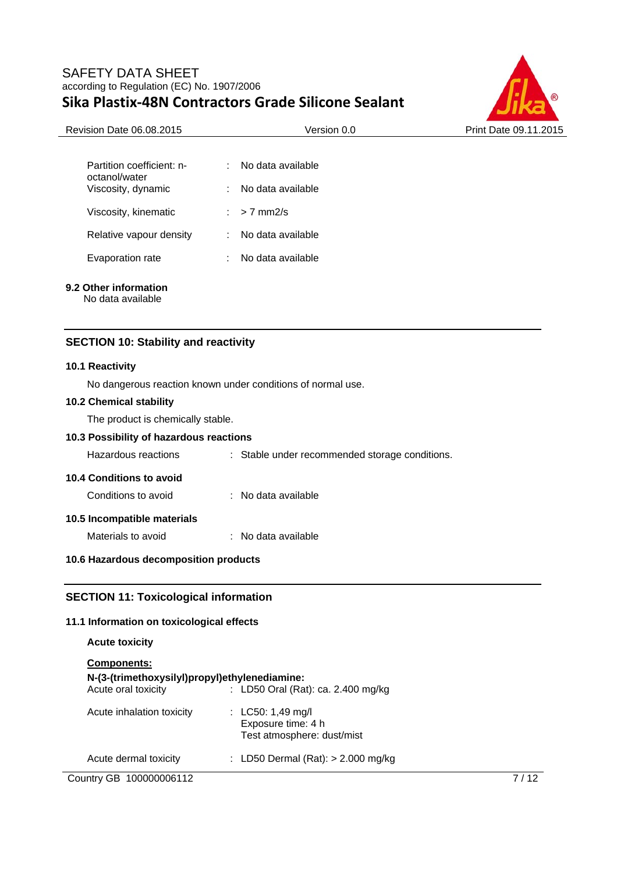

| <b>Revision Date 06.08.2015</b>            | Version 0.0        | Print Date 09.11.2015 |
|--------------------------------------------|--------------------|-----------------------|
|                                            |                    |                       |
| Partition coefficient: n-<br>octanol/water | No data available  |                       |
| Viscosity, dynamic                         | No data available  |                       |
| Viscosity, kinematic                       | $> 7$ mm2/s<br>У., |                       |
| Relative vapour density                    | No data available  |                       |
| Evaporation rate                           | No data available  |                       |
|                                            |                    |                       |

## **9.2 Other information**

No data available

### **SECTION 10: Stability and reactivity**

#### **10.1 Reactivity**

No dangerous reaction known under conditions of normal use.

#### **10.2 Chemical stability**

The product is chemically stable.

## **10.3 Possibility of hazardous reactions**

Hazardous reactions : Stable under recommended storage conditions.

#### **10.4 Conditions to avoid**

| Conditions to avoid |  | No data available |
|---------------------|--|-------------------|
|---------------------|--|-------------------|

## **10.5 Incompatible materials**

#### **10.6 Hazardous decomposition products**

## **SECTION 11: Toxicological information**

## **11.1 Information on toxicological effects**

| <b>Acute toxicity</b>                                               |                                                                       |
|---------------------------------------------------------------------|-----------------------------------------------------------------------|
| <b>Components:</b><br>N-(3-(trimethoxysilyl)propyl)ethylenediamine: |                                                                       |
| Acute oral toxicity                                                 | : LD50 Oral (Rat): ca. 2.400 mg/kg                                    |
| Acute inhalation toxicity                                           | : LC50: 1,49 mg/l<br>Exposure time: 4 h<br>Test atmosphere: dust/mist |
| Acute dermal toxicity                                               | : LD50 Dermal (Rat): $>$ 2.000 mg/kg                                  |

Country GB 100000006112 7/12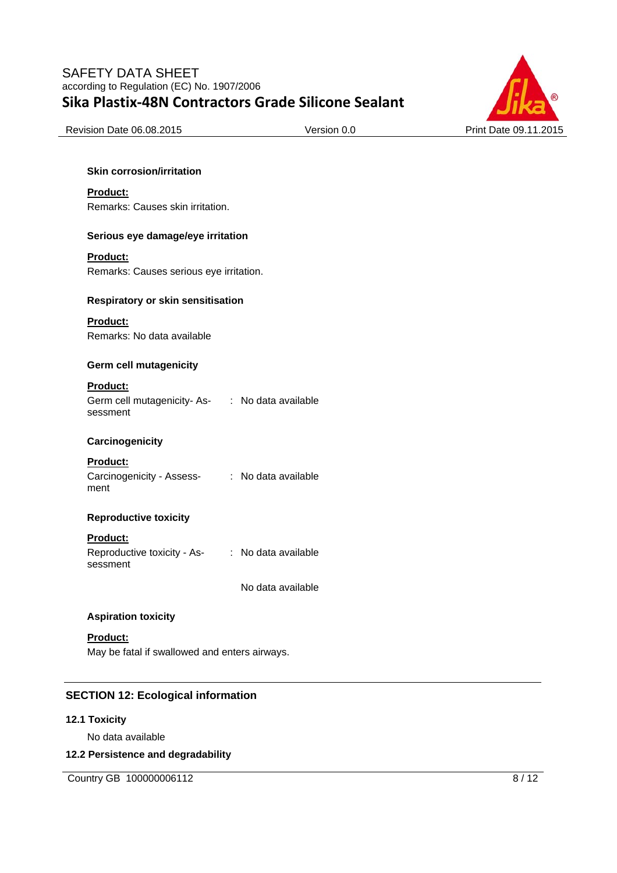

Revision Date 06.08.2015 Version 0.0 Print Date 09.11.2015

#### **Skin corrosion/irritation**

#### **Product:**

Remarks: Causes skin irritation.

#### **Serious eye damage/eye irritation**

#### **Product:**

Remarks: Causes serious eye irritation.

#### **Respiratory or skin sensitisation**

#### **Product:**

Remarks: No data available

#### **Germ cell mutagenicity**

#### **Product:**

Germ cell mutagenicity- Assessment : No data available

### **Carcinogenicity**

### **Product:**

| Carcinogenicity - Assess- | : No data available |
|---------------------------|---------------------|
| ment                      |                     |

## **Reproductive toxicity**

#### **Product:**

| Reproductive toxicity - As- | : No data available |
|-----------------------------|---------------------|
| sessment                    |                     |

No data available

### **Aspiration toxicity**

## **Product:**

May be fatal if swallowed and enters airways.

## **SECTION 12: Ecological information**

#### **12.1 Toxicity**

No data available

#### **12.2 Persistence and degradability**

Country GB 100000006112 8/12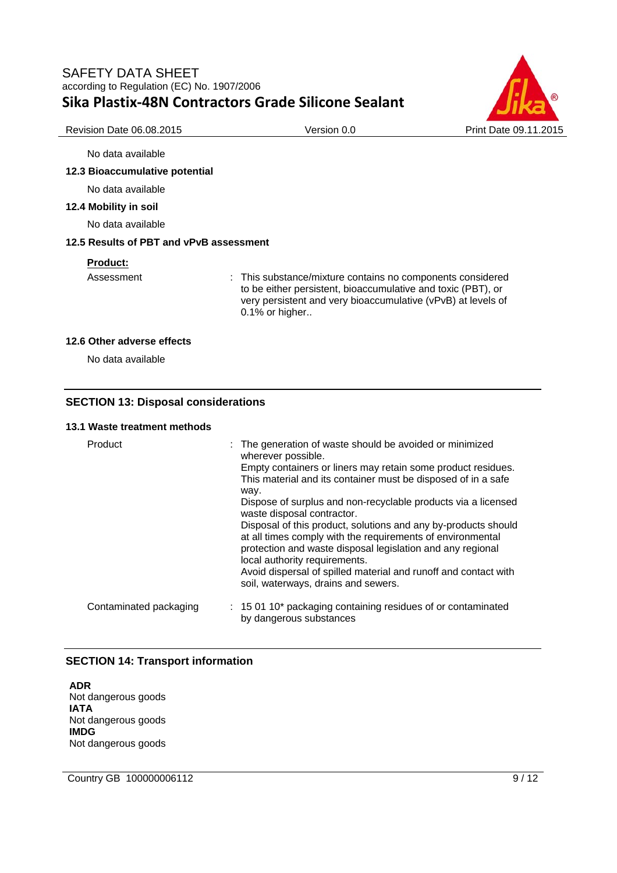

Revision Date 06.08.2015 Version 0.0 Print Date 09.11.2015

#### No data available

#### **12.3 Bioaccumulative potential**

No data available

#### **12.4 Mobility in soil**

No data available

#### **12.5 Results of PBT and vPvB assessment**

#### **Product:**

Assessment : This substance/mixture contains no components considered to be either persistent, bioaccumulative and toxic (PBT), or very persistent and very bioaccumulative (vPvB) at levels of 0.1% or higher..

#### **12.6 Other adverse effects**

No data available

#### **SECTION 13: Disposal considerations**

## **13.1 Waste treatment methods**

| Product                | : The generation of waste should be avoided or minimized<br>wherever possible.<br>Empty containers or liners may retain some product residues.<br>This material and its container must be disposed of in a safe             |
|------------------------|-----------------------------------------------------------------------------------------------------------------------------------------------------------------------------------------------------------------------------|
|                        | way.                                                                                                                                                                                                                        |
|                        | Dispose of surplus and non-recyclable products via a licensed<br>waste disposal contractor.                                                                                                                                 |
|                        | Disposal of this product, solutions and any by-products should<br>at all times comply with the requirements of environmental<br>protection and waste disposal legislation and any regional<br>local authority requirements. |
|                        | Avoid dispersal of spilled material and runoff and contact with<br>soil, waterways, drains and sewers.                                                                                                                      |
| Contaminated packaging | : 15 01 10* packaging containing residues of or contaminated<br>by dangerous substances                                                                                                                                     |

## **SECTION 14: Transport information**

**ADR**  Not dangerous goods **IATA**  Not dangerous goods **IMDG**  Not dangerous goods

Country GB 100000006112 9/12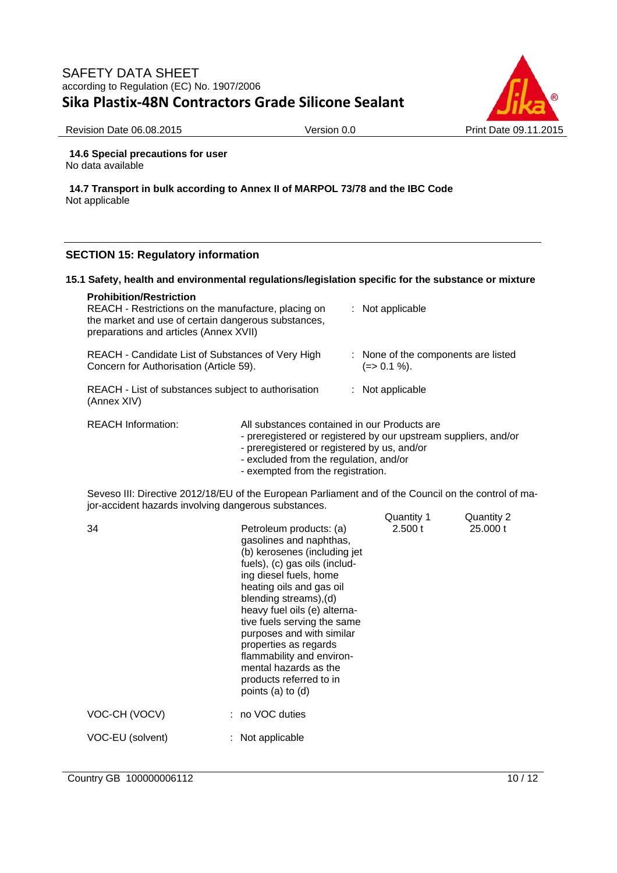

Revision Date 06.08.2015 Version 0.0 Print Date 09.11.2015

**14.6 Special precautions for user**  No data available

**14.7 Transport in bulk according to Annex II of MARPOL 73/78 and the IBC Code**  Not applicable

### **SECTION 15: Regulatory information**

#### **15.1 Safety, health and environmental regulations/legislation specific for the substance or mixture**

| <b>Prohibition/Restriction</b><br>REACH - Restrictions on the manufacture, placing on<br>the market and use of certain dangerous substances,<br>preparations and articles (Annex XVII) |                                              |  | $:$ Not applicable                                              |
|----------------------------------------------------------------------------------------------------------------------------------------------------------------------------------------|----------------------------------------------|--|-----------------------------------------------------------------|
| REACH - Candidate List of Substances of Very High<br>Concern for Authorisation (Article 59).                                                                                           |                                              |  | : None of the components are listed<br>(=> 0.1 %).              |
| REACH - List of substances subject to authorisation<br>(Annex XIV)                                                                                                                     |                                              |  | $:$ Not applicable                                              |
| <b>REACH Information:</b>                                                                                                                                                              | All substances contained in our Products are |  | - preregistered or registered by our upstream suppliers, and/or |

- preregistered or registered by us, and/or
- excluded from the regulation, and/or
- exempted from the registration.

Seveso III: Directive 2012/18/EU of the European Parliament and of the Council on the control of major-accident hazards involving dangerous substances.

| 34               | Petroleum products: (a)<br>gasolines and naphthas,<br>(b) kerosenes (including jet<br>fuels), (c) gas oils (includ-<br>ing diesel fuels, home<br>heating oils and gas oil<br>blending streams),(d)<br>heavy fuel oils (e) alterna-<br>tive fuels serving the same<br>purposes and with similar<br>properties as regards<br>flammability and environ-<br>mental hazards as the<br>products referred to in<br>points (a) to (d) | Quantity 1<br>2.500 t | Quantity 2<br>25,000 t |
|------------------|-------------------------------------------------------------------------------------------------------------------------------------------------------------------------------------------------------------------------------------------------------------------------------------------------------------------------------------------------------------------------------------------------------------------------------|-----------------------|------------------------|
| VOC-CH (VOCV)    | : no VOC duties                                                                                                                                                                                                                                                                                                                                                                                                               |                       |                        |
| VOC-EU (solvent) | $:$ Not applicable                                                                                                                                                                                                                                                                                                                                                                                                            |                       |                        |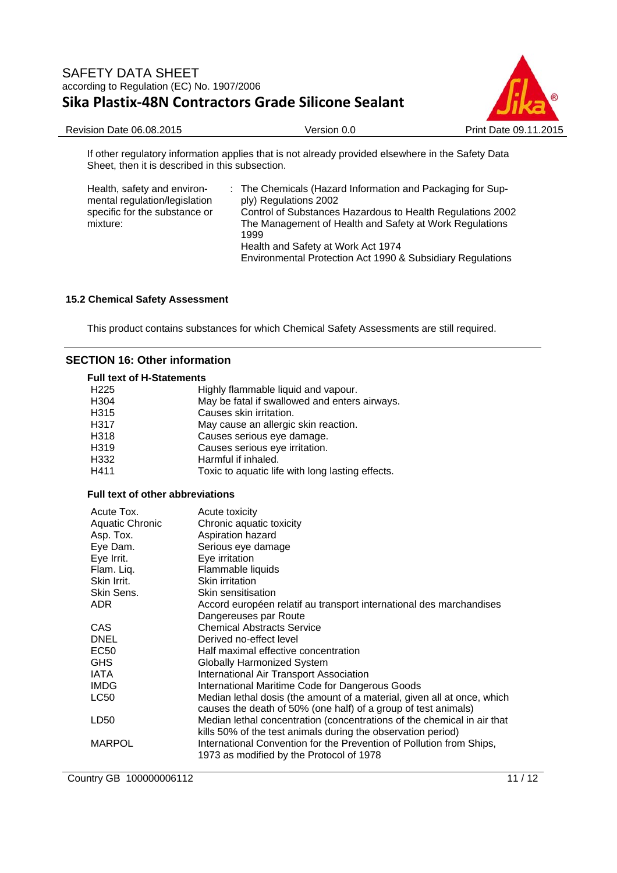

Revision Date 06.08.2015 Version 0.0 Print Date 09.11.2015

If other regulatory information applies that is not already provided elsewhere in the Safety Data Sheet, then it is described in this subsection.

| Health, safety and environ-<br>mental regulation/legislation<br>specific for the substance or<br>mixture: | : The Chemicals (Hazard Information and Packaging for Sup-<br>ply) Regulations 2002<br>Control of Substances Hazardous to Health Regulations 2002<br>The Management of Health and Safety at Work Regulations<br>1999 |
|-----------------------------------------------------------------------------------------------------------|----------------------------------------------------------------------------------------------------------------------------------------------------------------------------------------------------------------------|
|                                                                                                           | Health and Safety at Work Act 1974                                                                                                                                                                                   |
|                                                                                                           | Environmental Protection Act 1990 & Subsidiary Regulations                                                                                                                                                           |

### **15.2 Chemical Safety Assessment**

This product contains substances for which Chemical Safety Assessments are still required.

#### **SECTION 16: Other information**

#### **Full text of H-Statements**

| ניוויטוויטוויוט ווע |                                                  |
|---------------------|--------------------------------------------------|
| H <sub>225</sub>    | Highly flammable liquid and vapour.              |
| H <sub>304</sub>    | May be fatal if swallowed and enters airways.    |
| H315                | Causes skin irritation.                          |
| H317                | May cause an allergic skin reaction.             |
| H318                | Causes serious eye damage.                       |
| H319                | Causes serious eye irritation.                   |
| H332                | Harmful if inhaled.                              |
| H411                | Toxic to aquatic life with long lasting effects. |
|                     |                                                  |

## **Full text of other abbreviations**

| Acute Tox.<br>Aquatic Chronic<br>Asp. Tox.<br>Eye Dam.<br>Eye Irrit.<br>Flam. Liq.<br>Skin Irrit. | Acute toxicity<br>Chronic aquatic toxicity<br>Aspiration hazard<br>Serious eye damage<br>Eye irritation<br>Flammable liquids<br>Skin irritation |
|---------------------------------------------------------------------------------------------------|-------------------------------------------------------------------------------------------------------------------------------------------------|
| Skin Sens.                                                                                        | Skin sensitisation                                                                                                                              |
| ADR.                                                                                              | Accord européen relatif au transport international des marchandises                                                                             |
|                                                                                                   | Dangereuses par Route                                                                                                                           |
| CAS                                                                                               | <b>Chemical Abstracts Service</b>                                                                                                               |
| <b>DNEL</b>                                                                                       | Derived no-effect level                                                                                                                         |
| EC50                                                                                              | Half maximal effective concentration                                                                                                            |
| <b>GHS</b>                                                                                        | Globally Harmonized System                                                                                                                      |
| IATA                                                                                              | International Air Transport Association                                                                                                         |
| <b>IMDG</b>                                                                                       | International Maritime Code for Dangerous Goods                                                                                                 |
| LC50                                                                                              | Median lethal dosis (the amount of a material, given all at once, which<br>causes the death of 50% (one half) of a group of test animals)       |
| LD50                                                                                              | Median lethal concentration (concentrations of the chemical in air that<br>kills 50% of the test animals during the observation period)         |
| <b>MARPOL</b>                                                                                     | International Convention for the Prevention of Pollution from Ships,<br>1973 as modified by the Protocol of 1978                                |